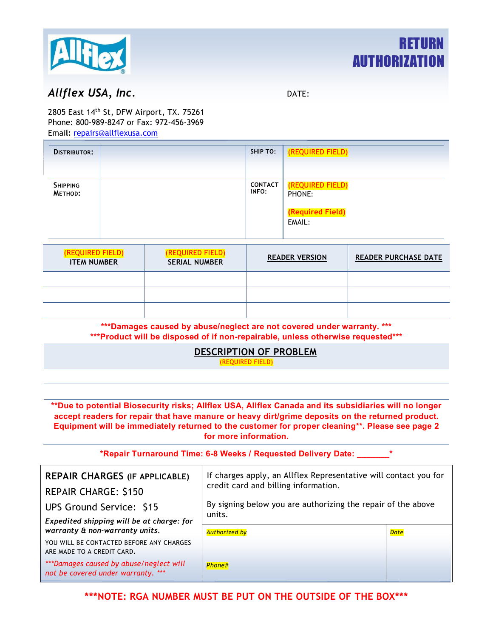



## *Allflex USA, Inc.* DATE:

2805 East 14th St, DFW Airport, TX. 75261 Phone: 800-989-8247 or Fax: 972-456-3969 Emai**l:** repairs[@allflexusa.com](mailto:repairs@allflexusa.com)

| <b>DISTRIBUTOR:</b>        | <b>SHIP TO:</b>         | (REQUIRED FIELD)           |
|----------------------------|-------------------------|----------------------------|
|                            |                         |                            |
| <b>SHIPPING</b><br>METHOD: | <b>CONTACT</b><br>INFO: | (REQUIRED FIELD)<br>PHONE: |
|                            |                         | (Required Field)<br>EMAIL: |

| (REQUIRED FIELD)<br><b>ITEM NUMBER</b> | (REQUIRED FIELD)<br><b>SERIAL NUMBER</b> | <b>READER VERSION</b> | <b>READER PURCHASE DATE</b> |
|----------------------------------------|------------------------------------------|-----------------------|-----------------------------|
|                                        |                                          |                       |                             |
|                                        |                                          |                       |                             |
|                                        |                                          |                       |                             |

**\*\*\*Damages caused by abuse/neglect are not covered under warranty. \*\*\* \*\*\*Product will be disposed of if non-repairable, unless otherwise requested\*\*\*** 

## **DESCRIPTION OF PROBLEM**

(REQUIRED FIELD)

**\*\*Due to potential Biosecurity risks; Allflex USA, Allflex Canada and its subsidiaries will no longer accept readers for repair that have manure or heavy dirt/grime deposits on the returned product. Equipment will be immediately returned to the customer for proper cleaning\*\*. Please see page 2 for more information.** 

**\*Repair Turnaround Time: 6-8 Weeks / Requested Delivery Date: \_\_\_\_\_\_\_\***

| <b>REPAIR CHARGES (IF APPLICABLE)</b><br><b>REPAIR CHARGE: \$150</b>          | If charges apply, an Allflex Representative will contact you for<br>credit card and billing information. |             |  |  |
|-------------------------------------------------------------------------------|----------------------------------------------------------------------------------------------------------|-------------|--|--|
| UPS Ground Service: \$15                                                      | By signing below you are authorizing the repair of the above<br>units.                                   |             |  |  |
| Expedited shipping will be at charge: for                                     |                                                                                                          |             |  |  |
| warranty & non-warranty units.                                                | <b>Authorized by</b>                                                                                     | <b>Date</b> |  |  |
| YOU WILL BE CONTACTED BEFORE ANY CHARGES<br>ARE MADE TO A CREDIT CARD.        |                                                                                                          |             |  |  |
| ***Damages caused by abuse/neglect will<br>not be covered under warranty. *** | Phone#                                                                                                   |             |  |  |

**\*\*\*NOTE: RGA NUMBER MUST BE PUT ON THE OUTSIDE OF THE BOX\*\*\***